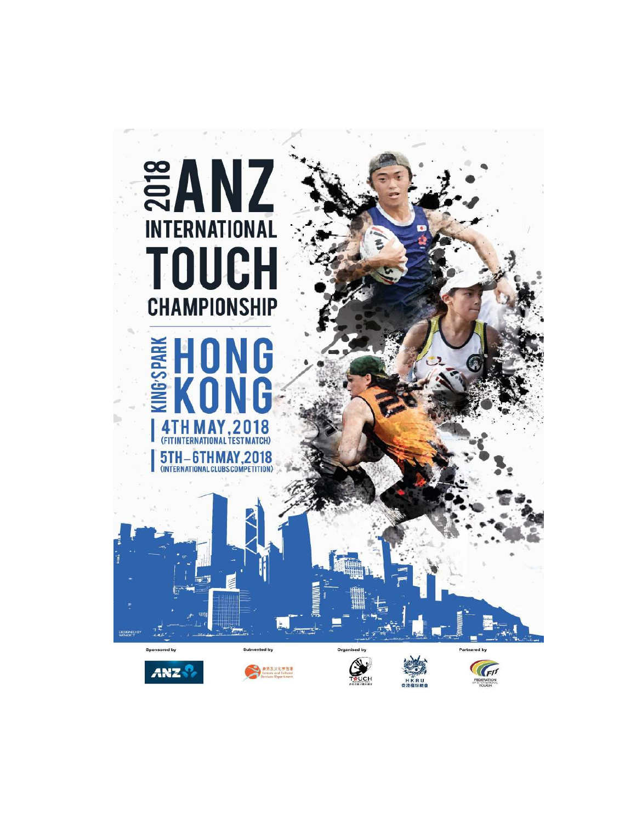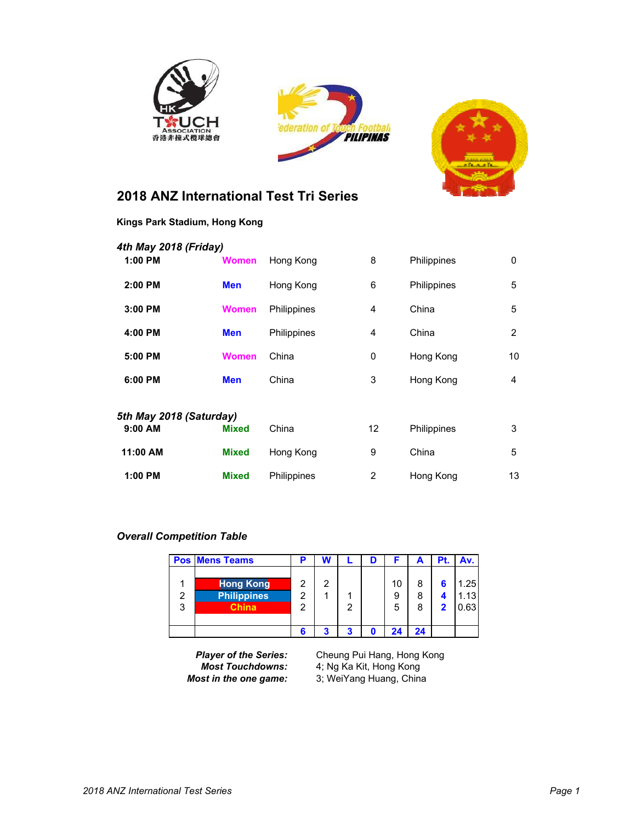





## **2018 ANZ International Test Tri Series**

| 4th May 2018 (Friday)   |              |             |    |             |    |
|-------------------------|--------------|-------------|----|-------------|----|
| 1:00 PM                 | <b>Women</b> | Hong Kong   | 8  | Philippines | 0  |
| $2:00$ PM               | <b>Men</b>   | Hong Kong   | 6  | Philippines | 5  |
| 3:00 PM                 | <b>Women</b> | Philippines | 4  | China       | 5  |
| 4:00 PM                 | <b>Men</b>   | Philippines | 4  | China       | 2  |
| 5:00 PM                 | <b>Women</b> | China       | 0  | Hong Kong   | 10 |
| 6:00 PM                 | <b>Men</b>   | China       | 3  | Hong Kong   | 4  |
| 5th May 2018 (Saturday) |              |             |    |             |    |
| $9:00$ AM               | <b>Mixed</b> | China       | 12 | Philippines | 3  |
| 11:00 AM                | <b>Mixed</b> | Hong Kong   | 9  | China       | 5  |
| 1:00 PM                 | <b>Mixed</b> | Philippines | 2  | Hong Kong   | 13 |
|                         |              |             |    |             |    |

#### *Overall Competition Table*

|                    | <b>Pos Mens Teams</b>                           |             | N |   |         |        | Pt. | Av.                 |
|--------------------|-------------------------------------------------|-------------|---|---|---------|--------|-----|---------------------|
| $\mathcal{P}$<br>3 | <b>Hong Kong</b><br><b>Philippines</b><br>China | າ<br>າ<br>っ | 2 | 2 | 10<br>5 | 8<br>8 | 2   | 1.25<br>.13<br>0.63 |
|                    |                                                 | 6           |   | 3 |         | 24     |     |                     |

*Player of the Series:* Cheung Pui Hang, Hong Kong *Most Touchdowns:* 4; Ng Ka Kit, Hong Kong *Most in the one game:* 3; WeiYang Huang, China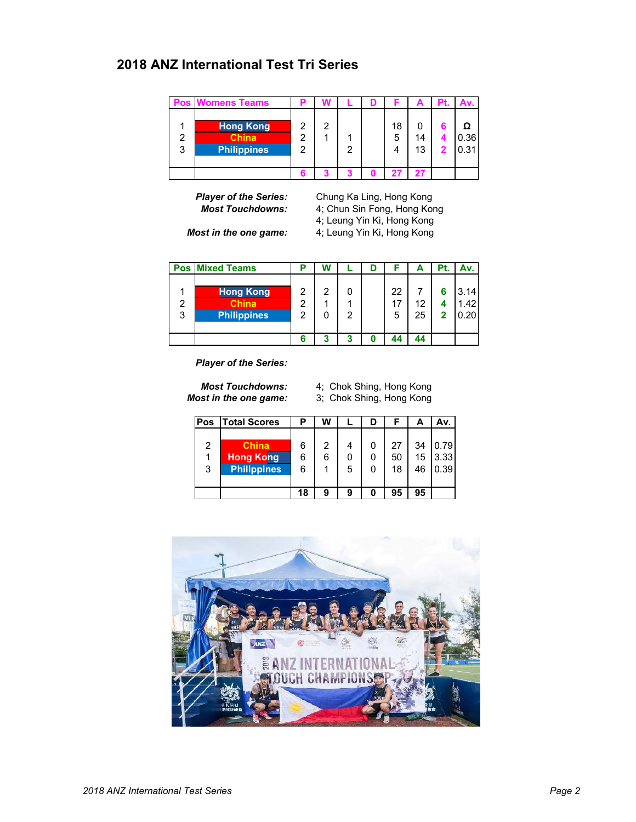### **2018 ANZ International Test Tri Series**

|        | <b>Pos Womens Teams</b>                                |   |   |  |         |          |              |
|--------|--------------------------------------------------------|---|---|--|---------|----------|--------------|
| 2<br>3 | <b>Hong Kong</b><br><b>China</b><br><b>Philippines</b> | າ | っ |  | 18<br>5 | 14<br>13 | 0.36<br>0.31 |
|        |                                                        |   |   |  |         | 27       |              |

**Player of the Series:** Chung Ka Ling, Hong Kong<br>**Most Touchdowns:** 4; Chun Sin Fong, Hong Kong *Most Touchdowns:* 4; Chun Sin Fong, Hong Kong 4; Leung Yin Ki, Hong Kong *Most in the one game:* 4; Leung Yin Ki, Hong Kong

|        | <b>Pos Mixed Teams</b>                                 |             | W |   |               | А        | Pt.    | Av.                               |
|--------|--------------------------------------------------------|-------------|---|---|---------------|----------|--------|-----------------------------------|
| 2<br>3 | <b>Hong Kong</b><br><b>China</b><br><b>Philippines</b> | 2<br>っ<br>っ | 2 | າ | 22<br>1.<br>5 | 12<br>25 | 6<br>0 | 3.14<br>1.42 <sub>1</sub><br>0.20 |
|        |                                                        |             |   |   | 44            |          |        |                                   |

*Player of the Series:*

*Most Touchdowns:* 4; Chok Shing, Hong Kong *Most in the one game:* 3; Chok Shing, Hong Kong

| Pos | <b>Total Scores</b> |    | W |   |    | Α  | Av.  |
|-----|---------------------|----|---|---|----|----|------|
|     |                     |    |   |   |    |    |      |
| 2   | <b>Ahina</b>        | 6  | 2 |   | 27 | 34 | 0.79 |
| 1   | <b>Hong Kong</b>    | 6  | 6 | 0 | 50 | 15 | 3.33 |
| 3   | <b>Philippines</b>  | 6  |   | 5 | 18 | 46 | 0.39 |
|     |                     |    |   |   |    |    |      |
|     |                     | 18 | 9 | 9 | 95 | 95 |      |

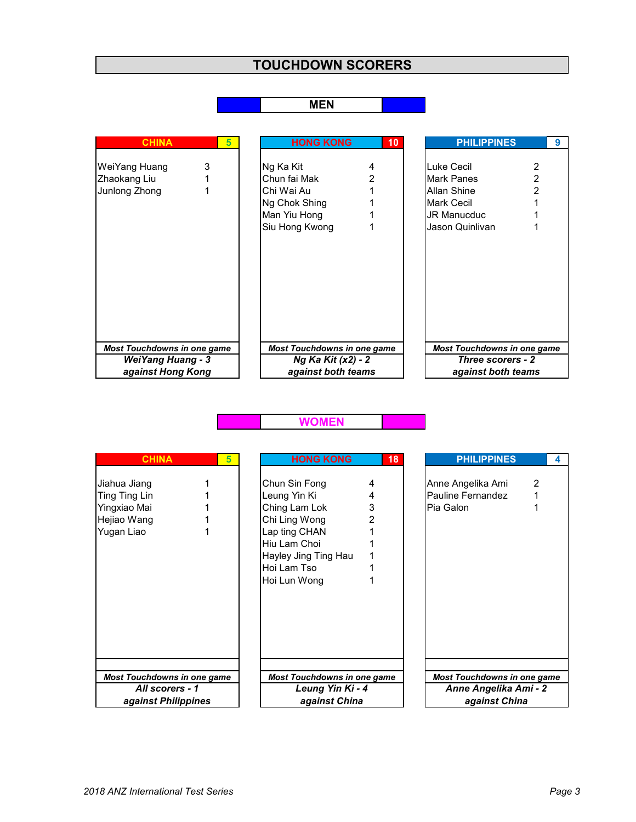# **TOUCHDOWN SCORERS**

#### **MEN**

| <b>CHINA</b>                                                   | 5 | <b>HONG KONG</b>                                                         | 10 | <b>PHILIPPINES</b>                                                                               | 9              |
|----------------------------------------------------------------|---|--------------------------------------------------------------------------|----|--------------------------------------------------------------------------------------------------|----------------|
| WeiYang Huang<br>Zhaokang Liu<br>Junlong Zhong                 | 3 | Ng Ka Kit<br>Chun fai Mak<br>Chi Wai Au<br>Ng Chok Shing<br>Man Yiu Hong | 2  | Luke Cecil<br><b>Mark Panes</b><br><b>Allan Shine</b><br><b>Mark Cecil</b><br><b>JR Manucduc</b> | $\mathfrak{p}$ |
|                                                                |   | Siu Hong Kwong                                                           |    | Jason Quinlivan                                                                                  |                |
|                                                                |   |                                                                          |    |                                                                                                  |                |
| <b>Most Touchdowns in one game</b><br><b>WeiYang Huang - 3</b> |   | <b>Most Touchdowns in one game</b><br>Ng Ka Kit (x2) - 2                 |    | <b>Most Touchdowns in one game</b><br>Three scorers - 2                                          |                |
| against Hong Kong                                              |   | against both teams                                                       |    | against both teams                                                                               |                |

#### **WOMEN**

| <b>CHINA</b>                                                               | 5 | <b>HONG KONG</b>                                                                                                                                        | 18     | <b>PHILIPPINES</b>                                  |               |  |
|----------------------------------------------------------------------------|---|---------------------------------------------------------------------------------------------------------------------------------------------------------|--------|-----------------------------------------------------|---------------|--|
| Jiahua Jiang<br>Ting Ting Lin<br>Yingxiao Mai<br>Hejiao Wang<br>Yugan Liao |   | Chun Sin Fong<br>Leung Yin Ki<br>Ching Lam Lok<br>Chi Ling Wong<br>Lap ting CHAN<br>Hiu Lam Choi<br>Hayley Jing Ting Hau<br>Hoi Lam Tso<br>Hoi Lun Wong | 3<br>2 | Anne Angelika Ami<br>Pauline Fernandez<br>Pia Galon | $\mathcal{P}$ |  |
| <b>Most Touchdowns in one game</b>                                         |   | <b>Most Touchdowns in one game</b>                                                                                                                      |        | <b>Most Touchdowns in one game</b>                  |               |  |
| All scorers - 1                                                            |   | Leung Yin Ki - 4                                                                                                                                        |        | Anne Angelika Ami - 2                               |               |  |
| against Philippines                                                        |   | against China                                                                                                                                           |        | against China                                       |               |  |